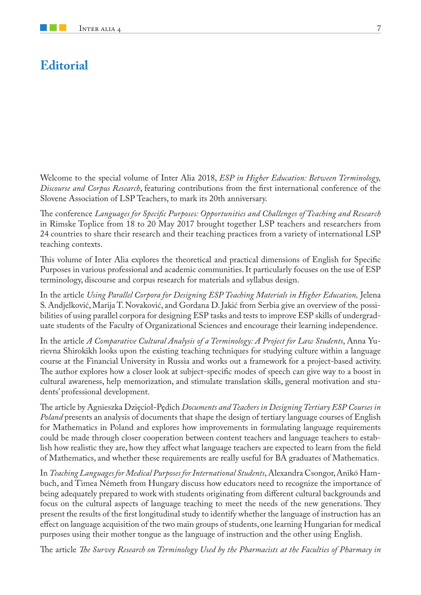## **Editorial**

Welcome to the special volume of Inter Alia 2018, *ESP in Higher Education: Between Terminology, Discourse and Corpus Research*, featuring contributions from the first international conference of the Slovene Association of LSP Teachers, to mark its 20th anniversary.

The conference *Languages for Specific Purposes: Opportunities and Challenges of Teaching and Research* in Rimske Toplice from 18 to 20 May 2017 brought together LSP teachers and researchers from 24 countries to share their research and their teaching practices from a variety of international LSP teaching contexts.

This volume of Inter Alia explores the theoretical and practical dimensions of English for Specific Purposes in various professional and academic communities. It particularly focuses on the use of ESP terminology, discourse and corpus research for materials and syllabus design.

In the article *Using Parallel Corpora for Designing ESP Teaching Materials in Higher Education,* Jelena S. Andjelković, Marija T. Novaković, and Gordana D. Jakić from Serbia give an overview of the possibilities of using parallel corpora for designing ESP tasks and tests to improve ESP skills of undergraduate students of the Faculty of Organizational Sciences and encourage their learning independence.

In the article *A Comparative Cultural Analysis of a Terminology: A Project for Law Students*, Anna Yurievna Shirokikh looks upon the existing teaching techniques for studying culture within a language course at the Financial University in Russia and works out a framework for a project-based activity. The author explores how a closer look at subject-specific modes of speech can give way to a boost in cultural awareness, help memorization, and stimulate translation skills, general motivation and students' professional development.

The article by Agnieszka Dzięcioł-Pędich *Documents and Teachers in Designing Tertiary ESP Courses in Poland* presents an analysis of documents that shape the design of tertiary language courses of English for Mathematics in Poland and explores how improvements in formulating language requirements could be made through closer cooperation between content teachers and language teachers to establish how realistic they are, how they affect what language teachers are expected to learn from the field of Mathematics, and whether these requirements are really useful for BA graduates of Mathematics.

In *Teaching Languages for Medical Purposes for International Students*, Alexandra Csongor, Anikó Hambuch, and Timea Németh from Hungary discuss how educators need to recognize the importance of being adequately prepared to work with students originating from different cultural backgrounds and focus on the cultural aspects of language teaching to meet the needs of the new generations. They present the results of the first longitudinal study to identify whether the language of instruction has an effect on language acquisition of the two main groups of students, one learning Hungarian for medical purposes using their mother tongue as the language of instruction and the other using English.

The article *The Survey Research on Terminology Used by the Pharmacists at the Faculties of Pharmacy in*